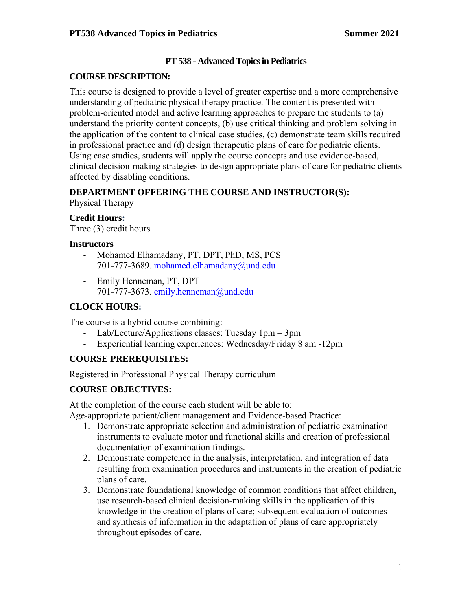## **PT 538 - Advanced Topics in Pediatrics**

## **COURSE DESCRIPTION:**

This course is designed to provide a level of greater expertise and a more comprehensive understanding of pediatric physical therapy practice. The content is presented with problem-oriented model and active learning approaches to prepare the students to (a) understand the priority content concepts, (b) use critical thinking and problem solving in the application of the content to clinical case studies, (c) demonstrate team skills required in professional practice and (d) design therapeutic plans of care for pediatric clients. Using case studies, students will apply the course concepts and use evidence-based, clinical decision-making strategies to design appropriate plans of care for pediatric clients affected by disabling conditions.

## **DEPARTMENT OFFERING THE COURSE AND INSTRUCTOR(S):**

Physical Therapy

## **Credit Hours:**

Three (3) credit hours

## **Instructors**

- Mohamed Elhamadany, PT, DPT, PhD, MS, PCS 701-777-3689. mohamed.elhamadany@und.edu
- Emily Henneman, PT, DPT 701-777-3673. emily.henneman@und.edu

## **CLOCK HOURS:**

The course is a hybrid course combining:

- Lab/Lecture/Applications classes: Tuesday  $1pm 3pm$
- Experiential learning experiences: Wednesday/Friday 8 am -12pm

# **COURSE PREREQUISITES:**

Registered in Professional Physical Therapy curriculum

# **COURSE OBJECTIVES:**

At the completion of the course each student will be able to:

Age-appropriate patient/client management and Evidence-based Practice:

- 1. Demonstrate appropriate selection and administration of pediatric examination instruments to evaluate motor and functional skills and creation of professional documentation of examination findings.
- 2. Demonstrate competence in the analysis, interpretation, and integration of data resulting from examination procedures and instruments in the creation of pediatric plans of care.
- 3. Demonstrate foundational knowledge of common conditions that affect children, use research-based clinical decision-making skills in the application of this knowledge in the creation of plans of care; subsequent evaluation of outcomes and synthesis of information in the adaptation of plans of care appropriately throughout episodes of care.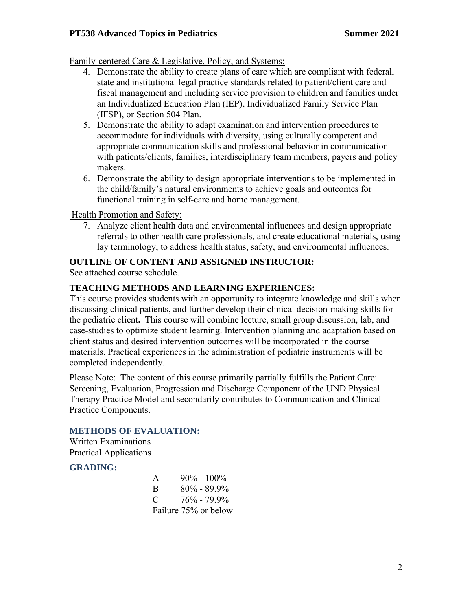Family-centered Care & Legislative, Policy, and Systems:

- 4. Demonstrate the ability to create plans of care which are compliant with federal, state and institutional legal practice standards related to patient/client care and fiscal management and including service provision to children and families under an Individualized Education Plan (IEP), Individualized Family Service Plan (IFSP), or Section 504 Plan.
- 5. Demonstrate the ability to adapt examination and intervention procedures to accommodate for individuals with diversity, using culturally competent and appropriate communication skills and professional behavior in communication with patients/clients, families, interdisciplinary team members, payers and policy makers.
- 6. Demonstrate the ability to design appropriate interventions to be implemented in the child/family's natural environments to achieve goals and outcomes for functional training in self-care and home management.

Health Promotion and Safety:

7. Analyze client health data and environmental influences and design appropriate referrals to other health care professionals, and create educational materials, using lay terminology, to address health status, safety, and environmental influences.

#### **OUTLINE OF CONTENT AND ASSIGNED INSTRUCTOR:**

See attached course schedule.

#### **TEACHING METHODS AND LEARNING EXPERIENCES:**

This course provides students with an opportunity to integrate knowledge and skills when discussing clinical patients, and further develop their clinical decision-making skills for the pediatric client**.** This course will combine lecture, small group discussion, lab, and case-studies to optimize student learning. Intervention planning and adaptation based on client status and desired intervention outcomes will be incorporated in the course materials. Practical experiences in the administration of pediatric instruments will be completed independently.

Please Note: The content of this course primarily partially fulfills the Patient Care: Screening, Evaluation, Progression and Discharge Component of the UND Physical Therapy Practice Model and secondarily contributes to Communication and Clinical Practice Components.

#### **METHODS OF EVALUATION:**

Written Examinations Practical Applications

#### **GRADING:**

| A | $90\% - 100\%$       |
|---|----------------------|
| B | $80\% - 89.9\%$      |
| C | $76\% - 79.9\%$      |
|   | Failure 75% or below |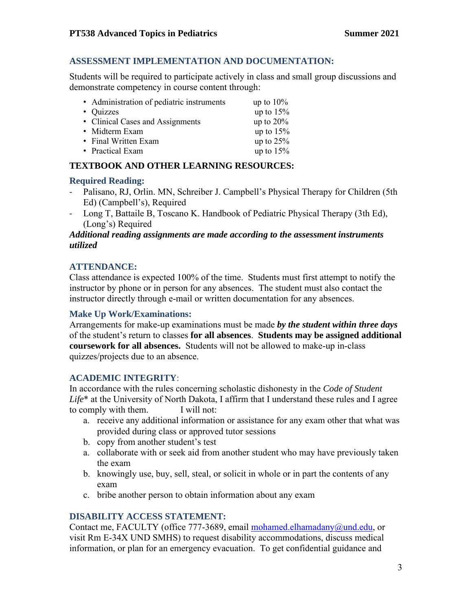## **ASSESSMENT IMPLEMENTATION AND DOCUMENTATION:**

Students will be required to participate actively in class and small group discussions and demonstrate competency in course content through:

| • Administration of pediatric instruments | up to $10\%$ |
|-------------------------------------------|--------------|
| • Quizzes                                 | up to $15%$  |
| • Clinical Cases and Assignments          | up to $20%$  |
| • Midterm Exam                            | up to $15%$  |
| • Final Written Exam                      | up to $25%$  |
| • Practical Exam                          | up to $15%$  |

## **TEXTBOOK AND OTHER LEARNING RESOURCES:**

#### **Required Reading:**

- Palisano, RJ, Orlin. MN, Schreiber J. Campbell's Physical Therapy for Children (5th Ed) (Campbell's), Required
- Long T, Battaile B, Toscano K. Handbook of Pediatric Physical Therapy (3th Ed), (Long's) Required

#### *Additional reading assignments are made according to the assessment instruments utilized*

## **ATTENDANCE:**

Class attendance is expected 100% of the time. Students must first attempt to notify the instructor by phone or in person for any absences. The student must also contact the instructor directly through e-mail or written documentation for any absences.

#### **Make Up Work/Examinations:**

Arrangements for make-up examinations must be made *by the student within three days* of the student's return to classes **for all absences**. **Students may be assigned additional coursework for all absences.** Students will not be allowed to make-up in-class quizzes/projects due to an absence.

## **ACADEMIC INTEGRITY**:

In accordance with the rules concerning scholastic dishonesty in the *Code of Student Life*\* at the University of North Dakota, I affirm that I understand these rules and I agree to comply with them. I will not:

- a. receive any additional information or assistance for any exam other that what was provided during class or approved tutor sessions
- b. copy from another student's test
- a. collaborate with or seek aid from another student who may have previously taken the exam
- b. knowingly use, buy, sell, steal, or solicit in whole or in part the contents of any exam
- c. bribe another person to obtain information about any exam

## **DISABILITY ACCESS STATEMENT:**

Contact me, FACULTY (office 777-3689, email mohamed.elhamadany@und.edu, or visit Rm E-34X UND SMHS) to request disability accommodations, discuss medical information, or plan for an emergency evacuation. To get confidential guidance and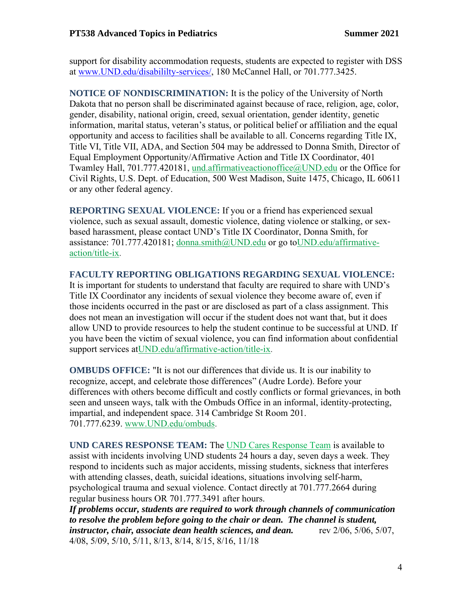support for disability accommodation requests, students are expected to register with DSS at [www.UND.edu/disabililty-services/,](file:///C:/Users/David.Relling/Documents/@UND-PT%20Teaching_Research_Service/@Teaching/@Teaching%20FALL/PT513/Syllabus_Objectives/www.UND.edu/disabililty-services/) 180 McCannel Hall, or 701.777.3425.

**NOTICE OF NONDISCRIMINATION:** It is the policy of the University of North Dakota that no person shall be discriminated against because of race, religion, age, color, gender, disability, national origin, creed, sexual orientation, gender identity, genetic information, marital status, veteran's status, or political belief or affiliation and the equal opportunity and access to facilities shall be available to all. Concerns regarding Title IX, Title VI, Title VII, ADA, and Section 504 may be addressed to Donna Smith, Director of Equal Employment Opportunity/Affirmative Action and Title IX Coordinator, 401 Twamley Hall, 701.777.420181, [und.affirmativeactionoffice@UND.edu](mailto:und.affirmativeactionoffice@UND.edu) or the Office for Civil Rights, U.S. Dept. of Education, 500 West Madison, Suite 1475, Chicago, IL 60611 or any other federal agency.

**REPORTING SEXUAL VIOLENCE:** If you or a friend has experienced sexual violence, such as sexual assault, domestic violence, dating violence or stalking, or sexbased harassment, please contact UND's Title IX Coordinator, Donna Smith, for assistance: 701.777.420181; [donna.smith@UND.edu](mailto:donna.smith@UND.edu) or go t[oUND.edu/affirmative](http://und.edu/affirmative-action/title-ix/index.cfm)[action/title-ix.](http://und.edu/affirmative-action/title-ix/index.cfm)

#### **FACULTY REPORTING OBLIGATIONS REGARDING SEXUAL VIOLENCE:**

It is important for students to understand that faculty are required to share with UND's Title IX Coordinator any incidents of sexual violence they become aware of, even if those incidents occurred in the past or are disclosed as part of a class assignment. This does not mean an investigation will occur if the student does not want that, but it does allow UND to provide resources to help the student continue to be successful at UND. If you have been the victim of sexual violence, you can find information about confidential support services a[tUND.edu/affirmative-action/title-ix.](http://und.edu/affirmative-action/title-ix/index.cfm)

**OMBUDS OFFICE:** "It is not our differences that divide us. It is our inability to recognize, accept, and celebrate those differences" (Audre Lorde). Before your differences with others become difficult and costly conflicts or formal grievances, in both seen and unseen ways, talk with the Ombuds Office in an informal, identity-protecting, impartial, and independent space. 314 Cambridge St Room 201. 701.777.6239. [www.UND.edu/ombuds.](http://www.und.edu/ombuds)

**UND CARES RESPONSE TEAM:** The [UND Cares Response Team](http://und.edu/student-affairs/student-rights-responsibilities/care-team.cfm) is available to assist with incidents involving UND students 24 hours a day, seven days a week. They respond to incidents such as major accidents, missing students, sickness that interferes with attending classes, death, suicidal ideations, situations involving self-harm, psychological trauma and sexual violence. Contact directly at 701.777.2664 during regular business hours OR 701.777.3491 after hours.

*If problems occur, students are required to work through channels of communication to resolve the problem before going to the chair or dean. The channel is student, instructor, chair, associate dean health sciences, and dean.* rev 2/06, 5/06, 5/07, 4/08, 5/09, 5/10, 5/11, 8/13, 8/14, 8/15, 8/16, 11/18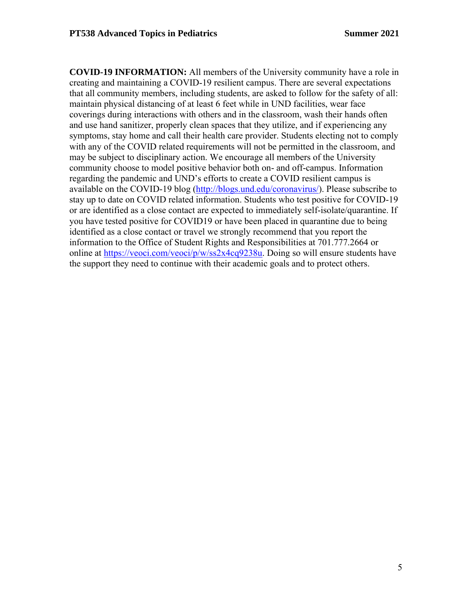**COVID-19 INFORMATION:** All members of the University community have a role in creating and maintaining a COVID-19 resilient campus. There are several expectations that all community members, including students, are asked to follow for the safety of all: maintain physical distancing of at least 6 feet while in UND facilities, wear face coverings during interactions with others and in the classroom, wash their hands often and use hand sanitizer, properly clean spaces that they utilize, and if experiencing any symptoms, stay home and call their health care provider. Students electing not to comply with any of the COVID related requirements will not be permitted in the classroom, and may be subject to disciplinary action. We encourage all members of the University community choose to model positive behavior both on- and off-campus. Information regarding the pandemic and UND's efforts to create a COVID resilient campus is available on the COVID-19 blog [\(http://blogs.und.edu/coronavirus/\)](http://blogs.und.edu/coronavirus/). Please subscribe to stay up to date on COVID related information. Students who test positive for COVID-19 or are identified as a close contact are expected to immediately self-isolate/quarantine. If you have tested positive for COVID19 or have been placed in quarantine due to being identified as a close contact or travel we strongly recommend that you report the information to the Office of Student Rights and Responsibilities at 701.777.2664 or online at [https://veoci.com/veoci/p/w/ss2x4cq9238u.](https://veoci.com/veoci/p/w/ss2x4cq9238u) Doing so will ensure students have the support they need to continue with their academic goals and to protect others.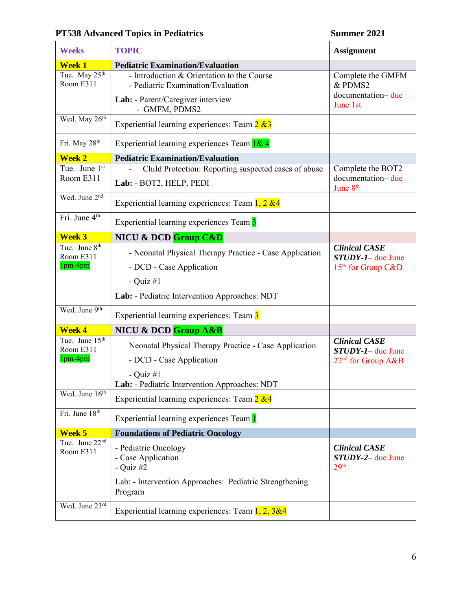# **PT538 Advanced Topics in Pediatrics Summer 2021**

| <b>Weeks</b>                                       | <b>TOPIC</b>                                                                                                                                        | <b>Assignment</b>                                                            |
|----------------------------------------------------|-----------------------------------------------------------------------------------------------------------------------------------------------------|------------------------------------------------------------------------------|
| <b>Week 1</b>                                      | <b>Pediatric Examination/Evaluation</b>                                                                                                             |                                                                              |
| Tue. May $25^{th}$<br>Room E311                    | - Introduction & Orientation to the Course<br>- Pediatric Examination/Evaluation<br>Lab: - Parent/Caregiver interview<br>- GMFM, PDMS2              | Complete the GMFM<br>& PDMS2<br>documentation-due<br>June 1st                |
| Wed. May 26 <sup>th</sup>                          | Experiential learning experiences: Team $2 \& 3$                                                                                                    |                                                                              |
| Fri. May 28 <sup>th</sup>                          | Experiential learning experiences Team 1& 4                                                                                                         |                                                                              |
| <b>Week 2</b>                                      | <b>Pediatric Examination/Evaluation</b>                                                                                                             |                                                                              |
| Tue. June 1st<br>Room E311                         | Child Protection: Reporting suspected cases of abuse<br>Lab: - BOT2, HELP, PEDI                                                                     | Complete the BOT2<br>documentation-due<br>June 8 <sup>th</sup>               |
| Wed. June 2 <sup>nd</sup>                          | Experiential learning experiences: Team $1, 2, \&4$                                                                                                 |                                                                              |
| Fri. June 4 <sup>th</sup>                          | Experiential learning experiences Team 3                                                                                                            |                                                                              |
| <b>Week 3</b>                                      | NICU & DCD Group C&D                                                                                                                                |                                                                              |
| Tue. June 8 <sup>th</sup><br>Room E311<br>1pm-4pm  | - Neonatal Physical Therapy Practice - Case Application<br>- DCD - Case Application<br>- Quiz $#1$<br>Lab: - Pediatric Intervention Approaches: NDT | <b>Clinical CASE</b><br>$STUDY-I$ due June<br>$15th$ for Group C&D           |
| Wed. June 9th                                      | Experiential learning experiences: Team 3                                                                                                           |                                                                              |
| <b>Week 4</b>                                      | NICU & DCD Group A&B                                                                                                                                |                                                                              |
| Tue. June 15 <sup>th</sup><br>Room E311<br>1pm-4pm | Neonatal Physical Therapy Practice - Case Application<br>- DCD - Case Application<br>- Quiz $#1$<br>Lab: - Pediatric Intervention Approaches: NDT   | <b>Clinical CASE</b><br>$STUDY-I$ due June<br>22 <sup>nd</sup> for Group A&B |
| Wed. June 16 <sup>th</sup>                         | Experiential learning experiences: Team 2 &4                                                                                                        |                                                                              |
| Fri. June 18th                                     | Experiential learning experiences Team 1                                                                                                            |                                                                              |
| Week 5                                             | <b>Foundations of Pediatric Oncology</b>                                                                                                            |                                                                              |
| Tue. June 22 <sup>nd</sup><br>Room E311            | - Pediatric Oncology<br>- Case Application<br>- Quiz $#2$<br>Lab: - Intervention Approaches: Pediatric Strengthening<br>Program                     | <b>Clinical CASE</b><br>$STUDY-2$ due June<br>29 <sup>th</sup>               |
| Wed. June 23rd                                     | Experiential learning experiences: Team $1, 2, 3 & 4$                                                                                               |                                                                              |